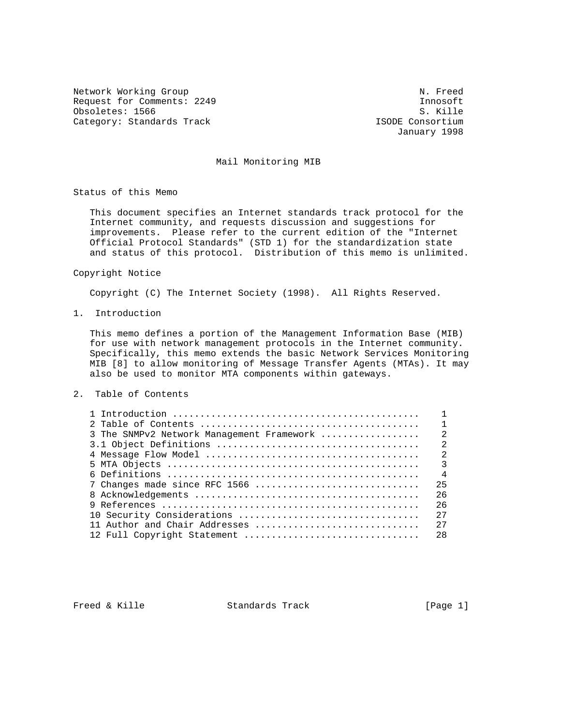Network Working Group Network of the Muslim Channel Communication of the Muslim Network of Network and Network Request for Comments: 2249<br>
Obsoletes: 1566<br>
S. Kille Obsoletes: 1566 S. Kille Category: Standards Track

January 1998

## Mail Monitoring MIB

Status of this Memo

 This document specifies an Internet standards track protocol for the Internet community, and requests discussion and suggestions for improvements. Please refer to the current edition of the "Internet Official Protocol Standards" (STD 1) for the standardization state and status of this protocol. Distribution of this memo is unlimited.

Copyright Notice

Copyright (C) The Internet Society (1998). All Rights Reserved.

1. Introduction

 This memo defines a portion of the Management Information Base (MIB) for use with network management protocols in the Internet community. Specifically, this memo extends the basic Network Services Monitoring MIB [8] to allow monitoring of Message Transfer Agents (MTAs). It may also be used to monitor MTA components within gateways.

#### 2. Table of Contents

| 3 The SNMPv2 Network Management Framework | 2              |
|-------------------------------------------|----------------|
|                                           | $\mathfrak{D}$ |
|                                           | $\mathfrak{D}$ |
|                                           | $\mathcal{E}$  |
|                                           | $\overline{4}$ |
| 7 Changes made since RFC 1566             | 25             |
|                                           | 2.6            |
|                                           | 2.6            |
| 10 Security Considerations                | 2.7            |
| 11 Author and Chair Addresses             | 27             |
| 12 Full Copyright Statement               | 28             |
|                                           |                |

Freed & Kille  $S$  Standards Track [Page 1]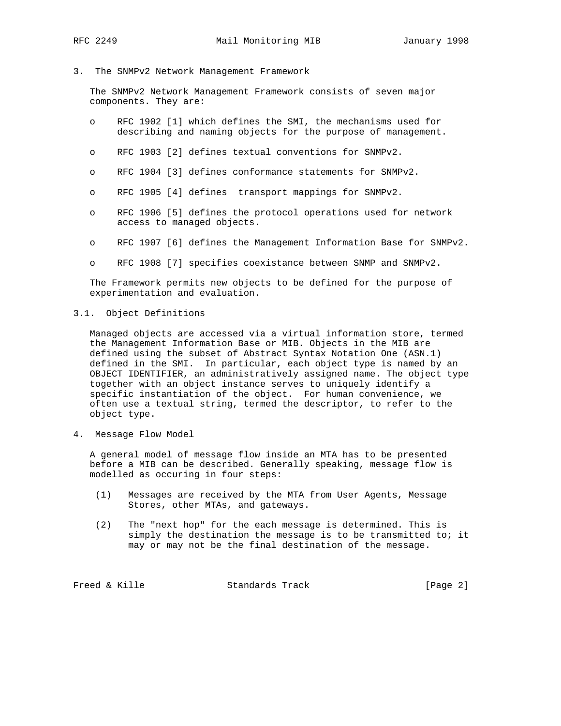## 3. The SNMPv2 Network Management Framework

 The SNMPv2 Network Management Framework consists of seven major components. They are:

- o RFC 1902 [1] which defines the SMI, the mechanisms used for describing and naming objects for the purpose of management.
- o RFC 1903 [2] defines textual conventions for SNMPv2.
- o RFC 1904 [3] defines conformance statements for SNMPv2.
- o RFC 1905 [4] defines transport mappings for SNMPv2.
- o RFC 1906 [5] defines the protocol operations used for network access to managed objects.
- o RFC 1907 [6] defines the Management Information Base for SNMPv2.
- o RFC 1908 [7] specifies coexistance between SNMP and SNMPv2.

 The Framework permits new objects to be defined for the purpose of experimentation and evaluation.

## 3.1. Object Definitions

 Managed objects are accessed via a virtual information store, termed the Management Information Base or MIB. Objects in the MIB are defined using the subset of Abstract Syntax Notation One (ASN.1) defined in the SMI. In particular, each object type is named by an OBJECT IDENTIFIER, an administratively assigned name. The object type together with an object instance serves to uniquely identify a specific instantiation of the object. For human convenience, we often use a textual string, termed the descriptor, to refer to the object type.

4. Message Flow Model

 A general model of message flow inside an MTA has to be presented before a MIB can be described. Generally speaking, message flow is modelled as occuring in four steps:

- (1) Messages are received by the MTA from User Agents, Message Stores, other MTAs, and gateways.
- (2) The "next hop" for the each message is determined. This is simply the destination the message is to be transmitted to; it may or may not be the final destination of the message.

Freed & Kille Standards Track [Page 2]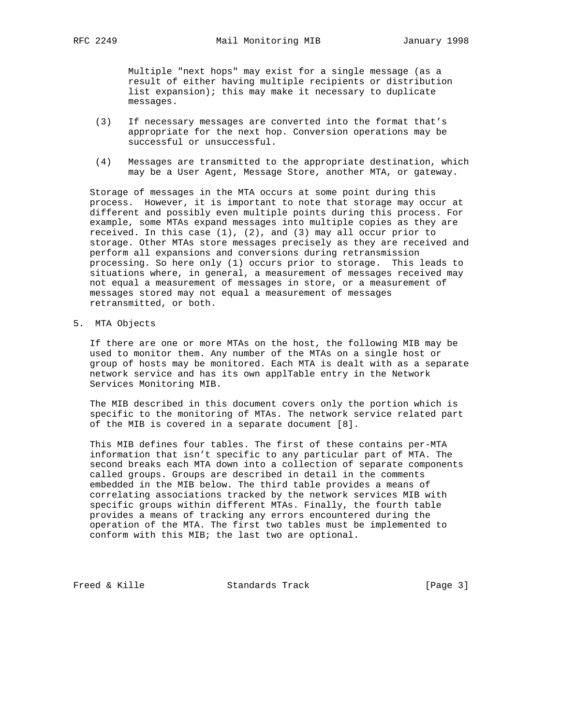Multiple "next hops" may exist for a single message (as a result of either having multiple recipients or distribution list expansion); this may make it necessary to duplicate messages.

- (3) If necessary messages are converted into the format that's appropriate for the next hop. Conversion operations may be successful or unsuccessful.
- (4) Messages are transmitted to the appropriate destination, which may be a User Agent, Message Store, another MTA, or gateway.

 Storage of messages in the MTA occurs at some point during this process. However, it is important to note that storage may occur at different and possibly even multiple points during this process. For example, some MTAs expand messages into multiple copies as they are received. In this case (1), (2), and (3) may all occur prior to storage. Other MTAs store messages precisely as they are received and perform all expansions and conversions during retransmission processing. So here only (1) occurs prior to storage. This leads to situations where, in general, a measurement of messages received may not equal a measurement of messages in store, or a measurement of messages stored may not equal a measurement of messages retransmitted, or both.

5. MTA Objects

 If there are one or more MTAs on the host, the following MIB may be used to monitor them. Any number of the MTAs on a single host or group of hosts may be monitored. Each MTA is dealt with as a separate network service and has its own applTable entry in the Network Services Monitoring MIB.

 The MIB described in this document covers only the portion which is specific to the monitoring of MTAs. The network service related part of the MIB is covered in a separate document [8].

 This MIB defines four tables. The first of these contains per-MTA information that isn't specific to any particular part of MTA. The second breaks each MTA down into a collection of separate components called groups. Groups are described in detail in the comments embedded in the MIB below. The third table provides a means of correlating associations tracked by the network services MIB with specific groups within different MTAs. Finally, the fourth table provides a means of tracking any errors encountered during the operation of the MTA. The first two tables must be implemented to conform with this MIB; the last two are optional.

Freed & Kille Standards Track [Page 3]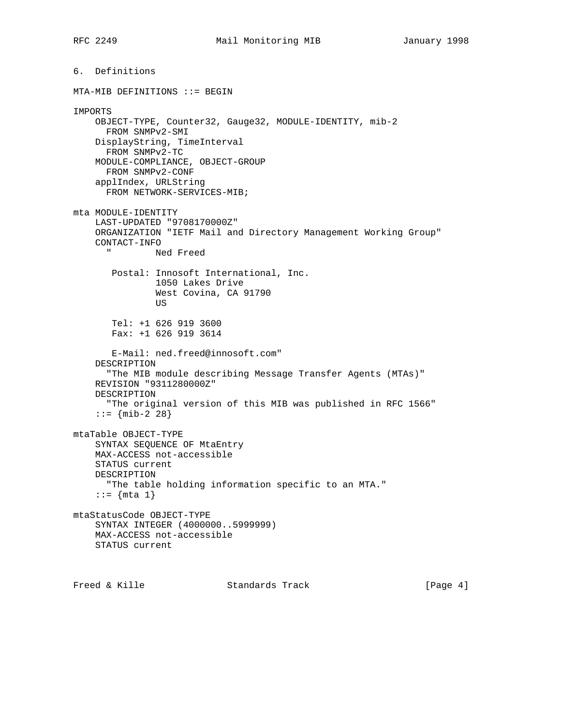6. Definitions MTA-MIB DEFINITIONS ::= BEGIN IMPORTS OBJECT-TYPE, Counter32, Gauge32, MODULE-IDENTITY, mib-2 FROM SNMPv2-SMI DisplayString, TimeInterval FROM SNMPv2-TC MODULE-COMPLIANCE, OBJECT-GROUP FROM SNMPv2-CONF applIndex, URLString FROM NETWORK-SERVICES-MIB; mta MODULE-IDENTITY LAST-UPDATED "9708170000Z" ORGANIZATION "IETF Mail and Directory Management Working Group" CONTACT-INFO Ned Freed Postal: Innosoft International, Inc. 1050 Lakes Drive West Covina, CA 91790 US Tel: +1 626 919 3600 Fax: +1 626 919 3614 E-Mail: ned.freed@innosoft.com" DESCRIPTION "The MIB module describing Message Transfer Agents (MTAs)" REVISION "9311280000Z" DESCRIPTION "The original version of this MIB was published in RFC 1566"  $: := \{ \text{min-2} \; 28 \}$ mtaTable OBJECT-TYPE SYNTAX SEQUENCE OF MtaEntry MAX-ACCESS not-accessible STATUS current DESCRIPTION "The table holding information specific to an MTA."  $::= \{ mta 1 \}$ mtaStatusCode OBJECT-TYPE SYNTAX INTEGER (4000000..5999999) MAX-ACCESS not-accessible STATUS current

Freed & Kille Standards Track [Page 4]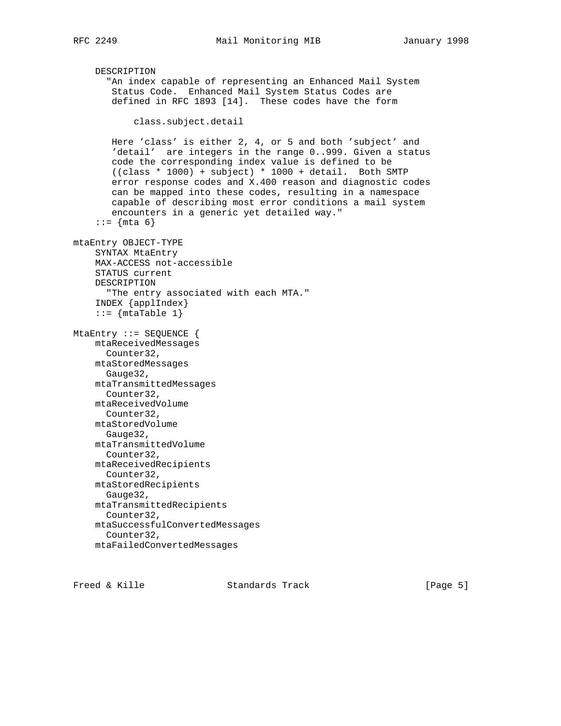```
 DESCRIPTION
       "An index capable of representing an Enhanced Mail System
        Status Code. Enhanced Mail System Status Codes are
        defined in RFC 1893 [14]. These codes have the form
            class.subject.detail
        Here 'class' is either 2, 4, or 5 and both 'subject' and
        'detail' are integers in the range 0..999. Given a status
        code the corresponding index value is defined to be
        ((class * 1000) + subject) * 1000 + detail. Both SMTP
        error response codes and X.400 reason and diagnostic codes
        can be mapped into these codes, resulting in a namespace
        capable of describing most error conditions a mail system
        encounters in a generic yet detailed way."
    : := \{ mta 6 \}mtaEntry OBJECT-TYPE
     SYNTAX MtaEntry
     MAX-ACCESS not-accessible
     STATUS current
     DESCRIPTION
       "The entry associated with each MTA."
     INDEX {applIndex}
    ::= {mtaTable 1}
MtaEntry ::= SEQUENCE {
     mtaReceivedMessages
      Counter32,
     mtaStoredMessages
      Gauge32,
     mtaTransmittedMessages
      Counter32,
     mtaReceivedVolume
      Counter32,
     mtaStoredVolume
      Gauge32,
     mtaTransmittedVolume
      Counter32,
     mtaReceivedRecipients
      Counter32,
     mtaStoredRecipients
       Gauge32,
     mtaTransmittedRecipients
       Counter32,
     mtaSuccessfulConvertedMessages
       Counter32,
     mtaFailedConvertedMessages
```
Freed & Kille Standards Track [Page 5]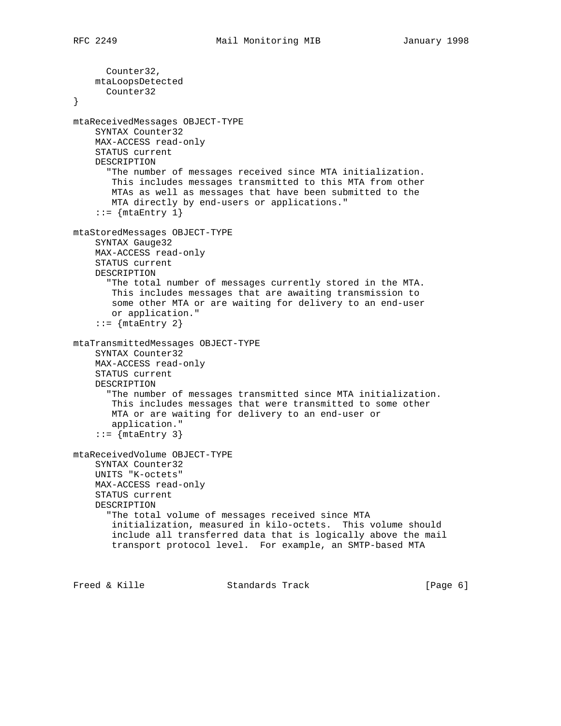Counter32, mtaLoopsDetected Counter32 } mtaReceivedMessages OBJECT-TYPE SYNTAX Counter32 MAX-ACCESS read-only STATUS current DESCRIPTION "The number of messages received since MTA initialization. This includes messages transmitted to this MTA from other MTAs as well as messages that have been submitted to the MTA directly by end-users or applications."  $::=$  {mtaEntry 1} mtaStoredMessages OBJECT-TYPE SYNTAX Gauge32 MAX-ACCESS read-only STATUS current DESCRIPTION "The total number of messages currently stored in the MTA. This includes messages that are awaiting transmission to some other MTA or are waiting for delivery to an end-user or application."  $::=$  {mtaEntry 2} mtaTransmittedMessages OBJECT-TYPE SYNTAX Counter32 MAX-ACCESS read-only STATUS current DESCRIPTION "The number of messages transmitted since MTA initialization. This includes messages that were transmitted to some other MTA or are waiting for delivery to an end-user or application."  $::=$  {mtaEntry 3} mtaReceivedVolume OBJECT-TYPE SYNTAX Counter32 UNITS "K-octets" MAX-ACCESS read-only STATUS current DESCRIPTION "The total volume of messages received since MTA initialization, measured in kilo-octets. This volume should include all transferred data that is logically above the mail transport protocol level. For example, an SMTP-based MTA

Freed & Kille **Standards Track** [Page 6]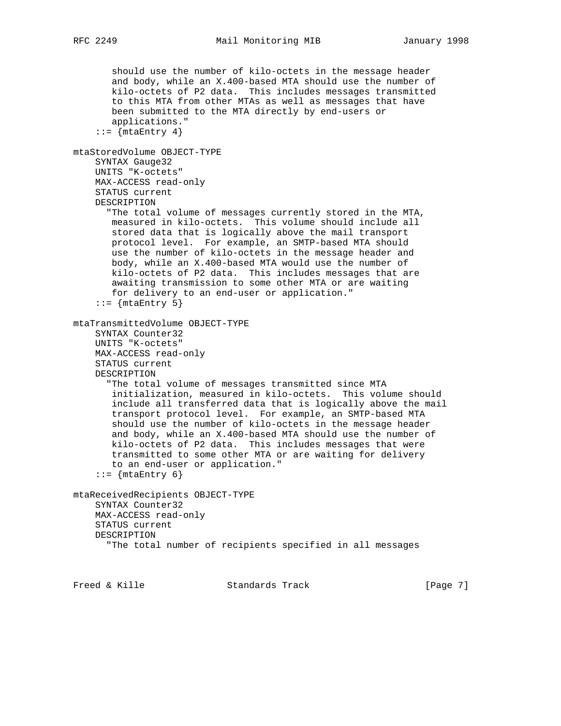```
 should use the number of kilo-octets in the message header
        and body, while an X.400-based MTA should use the number of
        kilo-octets of P2 data. This includes messages transmitted
        to this MTA from other MTAs as well as messages that have
        been submitted to the MTA directly by end-users or
        applications."
    ::= {mtaEntry 4}
mtaStoredVolume OBJECT-TYPE
    SYNTAX Gauge32
     UNITS "K-octets"
    MAX-ACCESS read-only
     STATUS current
     DESCRIPTION
       "The total volume of messages currently stored in the MTA,
        measured in kilo-octets. This volume should include all
        stored data that is logically above the mail transport
        protocol level. For example, an SMTP-based MTA should
        use the number of kilo-octets in the message header and
        body, while an X.400-based MTA would use the number of
        kilo-octets of P2 data. This includes messages that are
        awaiting transmission to some other MTA or are waiting
       for delivery to an end-user or application."
    ::= {mtaEntry 5}
mtaTransmittedVolume OBJECT-TYPE
     SYNTAX Counter32
     UNITS "K-octets"
    MAX-ACCESS read-only
     STATUS current
     DESCRIPTION
       "The total volume of messages transmitted since MTA
        initialization, measured in kilo-octets. This volume should
        include all transferred data that is logically above the mail
        transport protocol level. For example, an SMTP-based MTA
        should use the number of kilo-octets in the message header
        and body, while an X.400-based MTA should use the number of
        kilo-octets of P2 data. This includes messages that were
        transmitted to some other MTA or are waiting for delivery
        to an end-user or application."
    ::= {mtaEntry 6}
mtaReceivedRecipients OBJECT-TYPE
    SYNTAX Counter32
    MAX-ACCESS read-only
     STATUS current
     DESCRIPTION
       "The total number of recipients specified in all messages
```
Freed & Kille **Standards Track** [Page 7]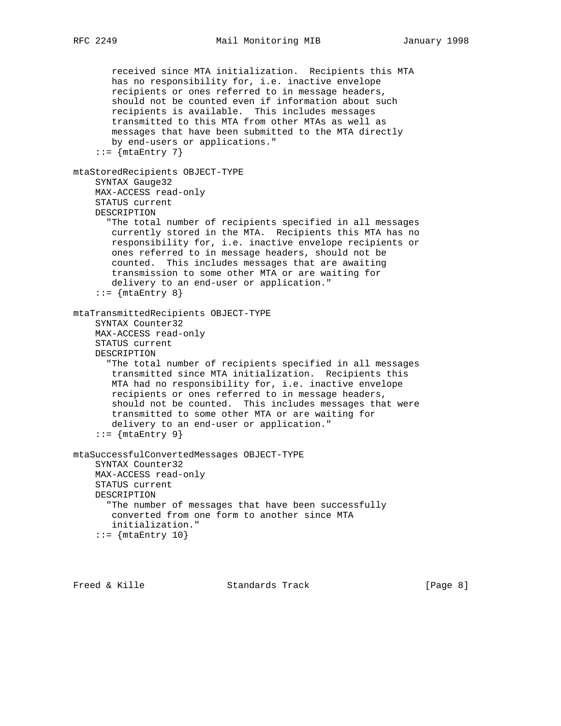```
 received since MTA initialization. Recipients this MTA
        has no responsibility for, i.e. inactive envelope
        recipients or ones referred to in message headers,
        should not be counted even if information about such
        recipients is available. This includes messages
        transmitted to this MTA from other MTAs as well as
        messages that have been submitted to the MTA directly
        by end-users or applications."
    ::= {mtaEntry 7}
mtaStoredRecipients OBJECT-TYPE
     SYNTAX Gauge32
     MAX-ACCESS read-only
     STATUS current
     DESCRIPTION
       "The total number of recipients specified in all messages
        currently stored in the MTA. Recipients this MTA has no
        responsibility for, i.e. inactive envelope recipients or
        ones referred to in message headers, should not be
        counted. This includes messages that are awaiting
        transmission to some other MTA or are waiting for
        delivery to an end-user or application."
     ::= \{ \text{mtaEntry } 8 \}mtaTransmittedRecipients OBJECT-TYPE
     SYNTAX Counter32
     MAX-ACCESS read-only
     STATUS current
     DESCRIPTION
       "The total number of recipients specified in all messages
       transmitted since MTA initialization. Recipients this
        MTA had no responsibility for, i.e. inactive envelope
        recipients or ones referred to in message headers,
        should not be counted. This includes messages that were
        transmitted to some other MTA or are waiting for
        delivery to an end-user or application."
    ::= {mtaEntry 9}
mtaSuccessfulConvertedMessages OBJECT-TYPE
     SYNTAX Counter32
     MAX-ACCESS read-only
     STATUS current
     DESCRIPTION
      "The number of messages that have been successfully
       converted from one form to another since MTA
       initialization."
    ::= {mtaEntry 10}
```

```
Freed & Kille Standards Track [Page 8]
```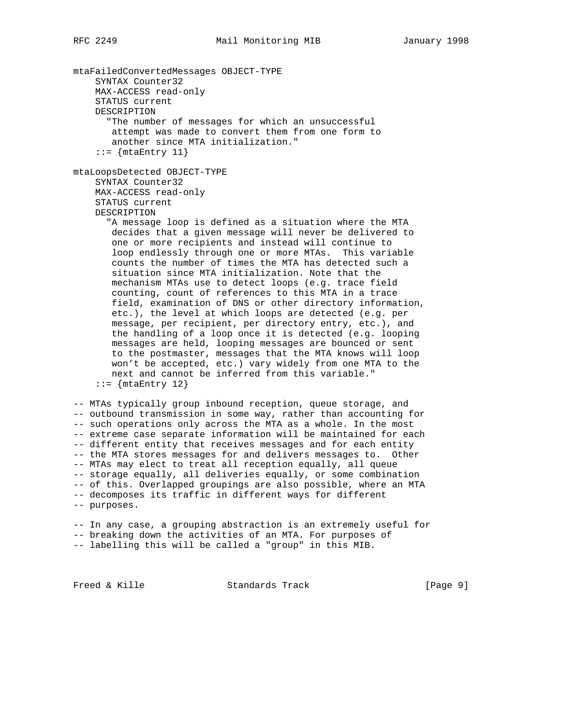mtaFailedConvertedMessages OBJECT-TYPE SYNTAX Counter32 MAX-ACCESS read-only STATUS current DESCRIPTION "The number of messages for which an unsuccessful attempt was made to convert them from one form to another since MTA initialization."  $::=$  {mtaEntry 11} mtaLoopsDetected OBJECT-TYPE SYNTAX Counter32 MAX-ACCESS read-only STATUS current DESCRIPTION "A message loop is defined as a situation where the MTA decides that a given message will never be delivered to one or more recipients and instead will continue to loop endlessly through one or more MTAs. This variable counts the number of times the MTA has detected such a situation since MTA initialization. Note that the mechanism MTAs use to detect loops (e.g. trace field counting, count of references to this MTA in a trace field, examination of DNS or other directory information, etc.), the level at which loops are detected (e.g. per message, per recipient, per directory entry, etc.), and the handling of a loop once it is detected (e.g. looping messages are held, looping messages are bounced or sent to the postmaster, messages that the MTA knows will loop won't be accepted, etc.) vary widely from one MTA to the next and cannot be inferred from this variable."  $::=$   $\{$ mtaEntry 12 $\}$ -- MTAs typically group inbound reception, queue storage, and -- outbound transmission in some way, rather than accounting for -- such operations only across the MTA as a whole. In the most -- extreme case separate information will be maintained for each -- different entity that receives messages and for each entity -- the MTA stores messages for and delivers messages to. Other -- MTAs may elect to treat all reception equally, all queue

-- storage equally, all deliveries equally, or some combination -- of this. Overlapped groupings are also possible, where an MTA -- decomposes its traffic in different ways for different -- purposes.

-- In any case, a grouping abstraction is an extremely useful for -- breaking down the activities of an MTA. For purposes of -- labelling this will be called a "group" in this MIB.

Freed & Kille Standards Track [Page 9]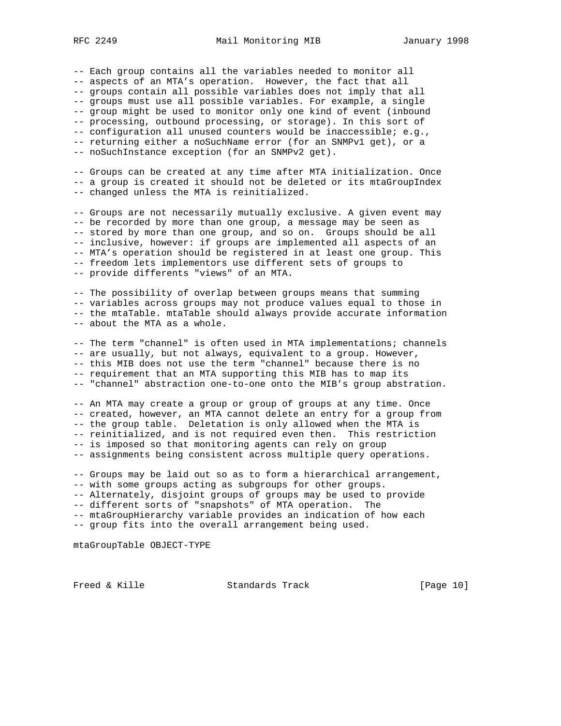-- Each group contains all the variables needed to monitor all -- aspects of an MTA's operation. However, the fact that all -- groups contain all possible variables does not imply that all -- groups must use all possible variables. For example, a single -- group might be used to monitor only one kind of event (inbound -- processing, outbound processing, or storage). In this sort of -- configuration all unused counters would be inaccessible; e.g., -- returning either a noSuchName error (for an SNMPv1 get), or a -- noSuchInstance exception (for an SNMPv2 get).

-- Groups can be created at any time after MTA initialization. Once -- a group is created it should not be deleted or its mtaGroupIndex -- changed unless the MTA is reinitialized.

-- Groups are not necessarily mutually exclusive. A given event may -- be recorded by more than one group, a message may be seen as -- stored by more than one group, and so on. Groups should be all -- inclusive, however: if groups are implemented all aspects of an -- MTA's operation should be registered in at least one group. This -- freedom lets implementors use different sets of groups to -- provide differents "views" of an MTA.

-- The possibility of overlap between groups means that summing -- variables across groups may not produce values equal to those in -- the mtaTable. mtaTable should always provide accurate information -- about the MTA as a whole.

-- The term "channel" is often used in MTA implementations; channels -- are usually, but not always, equivalent to a group. However, -- this MIB does not use the term "channel" because there is no -- requirement that an MTA supporting this MIB has to map its -- "channel" abstraction one-to-one onto the MIB's group abstration.

-- An MTA may create a group or group of groups at any time. Once -- created, however, an MTA cannot delete an entry for a group from -- the group table. Deletation is only allowed when the MTA is -- reinitialized, and is not required even then. This restriction -- is imposed so that monitoring agents can rely on group -- assignments being consistent across multiple query operations.

-- Groups may be laid out so as to form a hierarchical arrangement, -- with some groups acting as subgroups for other groups. -- Alternately, disjoint groups of groups may be used to provide -- different sorts of "snapshots" of MTA operation. The -- mtaGroupHierarchy variable provides an indication of how each -- group fits into the overall arrangement being used.

mtaGroupTable OBJECT-TYPE

Freed & Kille **Standards Track** [Page 10]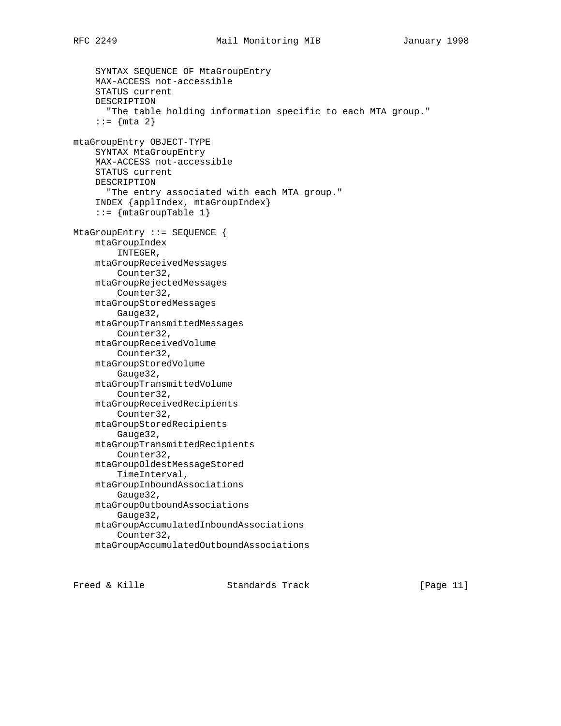SYNTAX SEQUENCE OF MtaGroupEntry MAX-ACCESS not-accessible STATUS current DESCRIPTION "The table holding information specific to each MTA group." ::=  $\{ mta \; 2 \}$ mtaGroupEntry OBJECT-TYPE SYNTAX MtaGroupEntry MAX-ACCESS not-accessible STATUS current DESCRIPTION "The entry associated with each MTA group." INDEX {applIndex, mtaGroupIndex}  $::=$  {mtaGroupTable 1} MtaGroupEntry ::= SEQUENCE { mtaGroupIndex INTEGER, mtaGroupReceivedMessages Counter32, mtaGroupRejectedMessages Counter32, mtaGroupStoredMessages Gauge32, mtaGroupTransmittedMessages Counter32, mtaGroupReceivedVolume Counter32, mtaGroupStoredVolume Gauge32, mtaGroupTransmittedVolume Counter32, mtaGroupReceivedRecipients Counter32, mtaGroupStoredRecipients Gauge32, mtaGroupTransmittedRecipients Counter32, mtaGroupOldestMessageStored TimeInterval, mtaGroupInboundAssociations Gauge32, mtaGroupOutboundAssociations Gauge32, mtaGroupAccumulatedInboundAssociations Counter32, mtaGroupAccumulatedOutboundAssociations

Freed & Kille Standards Track [Page 11]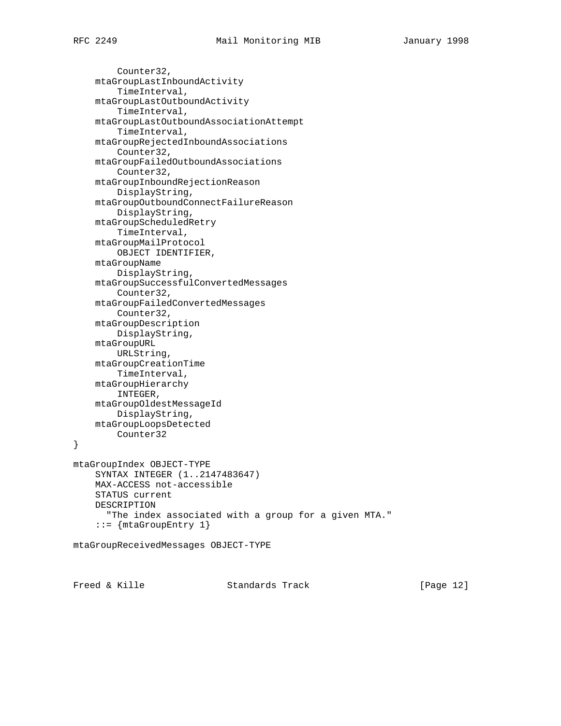```
 Counter32,
     mtaGroupLastInboundActivity
         TimeInterval,
     mtaGroupLastOutboundActivity
         TimeInterval,
     mtaGroupLastOutboundAssociationAttempt
         TimeInterval,
     mtaGroupRejectedInboundAssociations
         Counter32,
     mtaGroupFailedOutboundAssociations
         Counter32,
     mtaGroupInboundRejectionReason
         DisplayString,
     mtaGroupOutboundConnectFailureReason
         DisplayString,
     mtaGroupScheduledRetry
         TimeInterval,
     mtaGroupMailProtocol
         OBJECT IDENTIFIER,
     mtaGroupName
         DisplayString,
     mtaGroupSuccessfulConvertedMessages
         Counter32,
     mtaGroupFailedConvertedMessages
         Counter32,
     mtaGroupDescription
         DisplayString,
     mtaGroupURL
         URLString,
     mtaGroupCreationTime
         TimeInterval,
     mtaGroupHierarchy
         INTEGER,
     mtaGroupOldestMessageId
        DisplayString,
     mtaGroupLoopsDetected
         Counter32
}
mtaGroupIndex OBJECT-TYPE
     SYNTAX INTEGER (1..2147483647)
     MAX-ACCESS not-accessible
     STATUS current
     DESCRIPTION
       "The index associated with a group for a given MTA."
     ::= {mtaGroupEntry 1}
mtaGroupReceivedMessages OBJECT-TYPE
```
Freed & Kille Standards Track [Page 12]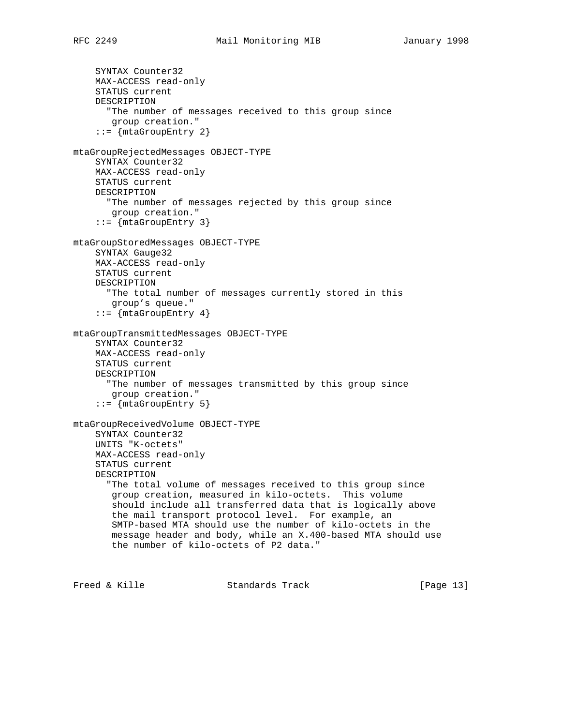```
 SYNTAX Counter32
     MAX-ACCESS read-only
     STATUS current
     DESCRIPTION
       "The number of messages received to this group since
       group creation."
     ::= {mtaGroupEntry 2}
mtaGroupRejectedMessages OBJECT-TYPE
     SYNTAX Counter32
     MAX-ACCESS read-only
     STATUS current
     DESCRIPTION
       "The number of messages rejected by this group since
        group creation."
     ::= {mtaGroupEntry 3}
mtaGroupStoredMessages OBJECT-TYPE
    SYNTAX Gauge32
     MAX-ACCESS read-only
     STATUS current
     DESCRIPTION
       "The total number of messages currently stored in this
       group's queue."
     ::= {mtaGroupEntry 4}
mtaGroupTransmittedMessages OBJECT-TYPE
     SYNTAX Counter32
     MAX-ACCESS read-only
     STATUS current
     DESCRIPTION
       "The number of messages transmitted by this group since
       group creation."
     ::= {mtaGroupEntry 5}
mtaGroupReceivedVolume OBJECT-TYPE
     SYNTAX Counter32
     UNITS "K-octets"
     MAX-ACCESS read-only
     STATUS current
     DESCRIPTION
       "The total volume of messages received to this group since
        group creation, measured in kilo-octets. This volume
        should include all transferred data that is logically above
        the mail transport protocol level. For example, an
        SMTP-based MTA should use the number of kilo-octets in the
        message header and body, while an X.400-based MTA should use
        the number of kilo-octets of P2 data."
```
Freed & Kille **Standards Track** [Page 13]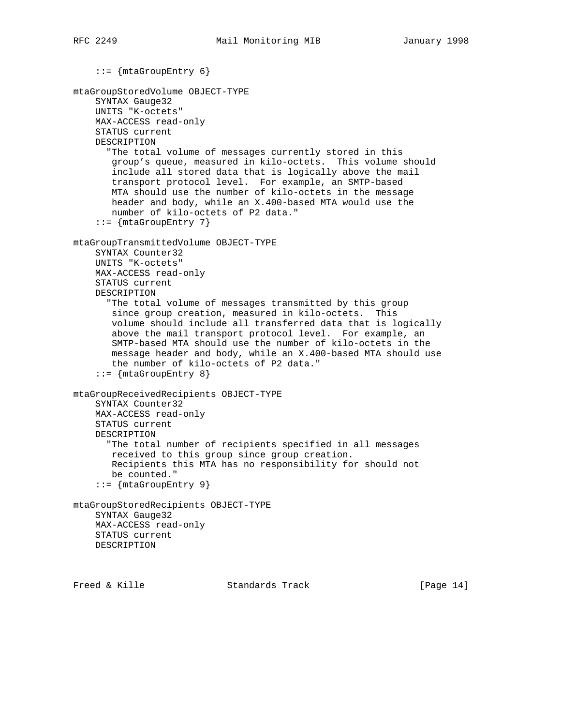```
 ::= {mtaGroupEntry 6}
mtaGroupStoredVolume OBJECT-TYPE
     SYNTAX Gauge32
     UNITS "K-octets"
     MAX-ACCESS read-only
     STATUS current
     DESCRIPTION
       "The total volume of messages currently stored in this
       group's queue, measured in kilo-octets. This volume should
        include all stored data that is logically above the mail
        transport protocol level. For example, an SMTP-based
        MTA should use the number of kilo-octets in the message
        header and body, while an X.400-based MTA would use the
        number of kilo-octets of P2 data."
     ::= {mtaGroupEntry 7}
mtaGroupTransmittedVolume OBJECT-TYPE
     SYNTAX Counter32
     UNITS "K-octets"
     MAX-ACCESS read-only
     STATUS current
     DESCRIPTION
       "The total volume of messages transmitted by this group
        since group creation, measured in kilo-octets. This
        volume should include all transferred data that is logically
        above the mail transport protocol level. For example, an
        SMTP-based MTA should use the number of kilo-octets in the
        message header and body, while an X.400-based MTA should use
        the number of kilo-octets of P2 data."
     ::= {mtaGroupEntry 8}
mtaGroupReceivedRecipients OBJECT-TYPE
     SYNTAX Counter32
     MAX-ACCESS read-only
     STATUS current
     DESCRIPTION
       "The total number of recipients specified in all messages
        received to this group since group creation.
        Recipients this MTA has no responsibility for should not
        be counted."
     ::= {mtaGroupEntry 9}
mtaGroupStoredRecipients OBJECT-TYPE
     SYNTAX Gauge32
    MAX-ACCESS read-only
    STATUS current
     DESCRIPTION
```
Freed & Kille **Standards Track** [Page 14]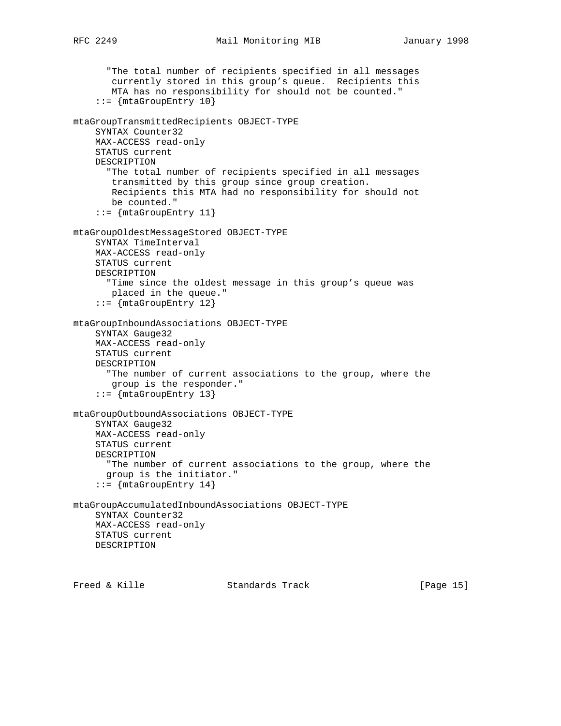```
 "The total number of recipients specified in all messages
        currently stored in this group's queue. Recipients this
        MTA has no responsibility for should not be counted."
     ::= {mtaGroupEntry 10}
mtaGroupTransmittedRecipients OBJECT-TYPE
     SYNTAX Counter32
     MAX-ACCESS read-only
     STATUS current
     DESCRIPTION
       "The total number of recipients specified in all messages
        transmitted by this group since group creation.
        Recipients this MTA had no responsibility for should not
        be counted."
    ::= {mtaGroupEntry 11}
mtaGroupOldestMessageStored OBJECT-TYPE
     SYNTAX TimeInterval
     MAX-ACCESS read-only
     STATUS current
     DESCRIPTION
       "Time since the oldest message in this group's queue was
       placed in the queue."
     ::= {mtaGroupEntry 12}
mtaGroupInboundAssociations OBJECT-TYPE
     SYNTAX Gauge32
     MAX-ACCESS read-only
     STATUS current
     DESCRIPTION
       "The number of current associations to the group, where the
       group is the responder."
     ::= {mtaGroupEntry 13}
mtaGroupOutboundAssociations OBJECT-TYPE
     SYNTAX Gauge32
     MAX-ACCESS read-only
     STATUS current
     DESCRIPTION
       "The number of current associations to the group, where the
       group is the initiator."
     ::= {mtaGroupEntry 14}
mtaGroupAccumulatedInboundAssociations OBJECT-TYPE
     SYNTAX Counter32
     MAX-ACCESS read-only
    STATUS current
     DESCRIPTION
```
Freed & Kille Standards Track [Page 15]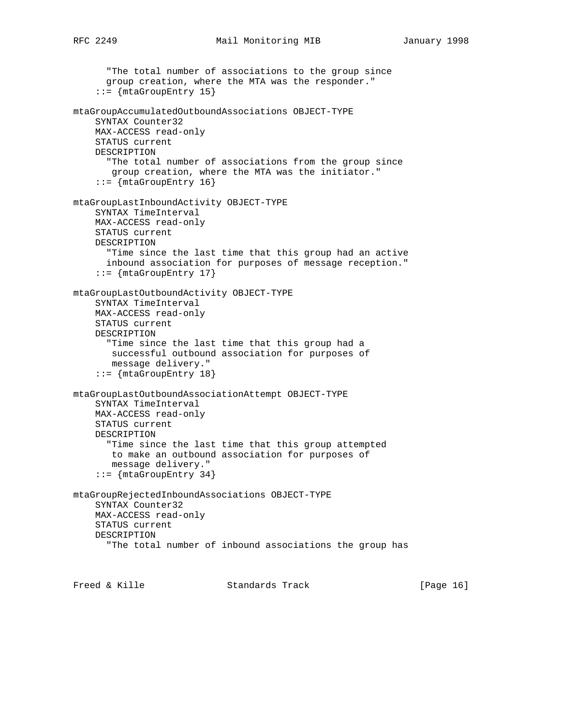```
 "The total number of associations to the group since
       group creation, where the MTA was the responder."
     ::= {mtaGroupEntry 15}
mtaGroupAccumulatedOutboundAssociations OBJECT-TYPE
     SYNTAX Counter32
     MAX-ACCESS read-only
     STATUS current
     DESCRIPTION
       "The total number of associations from the group since
        group creation, where the MTA was the initiator."
     ::= {mtaGroupEntry 16}
mtaGroupLastInboundActivity OBJECT-TYPE
     SYNTAX TimeInterval
     MAX-ACCESS read-only
     STATUS current
     DESCRIPTION
       "Time since the last time that this group had an active
       inbound association for purposes of message reception."
     ::= {mtaGroupEntry 17}
mtaGroupLastOutboundActivity OBJECT-TYPE
     SYNTAX TimeInterval
     MAX-ACCESS read-only
     STATUS current
     DESCRIPTION
       "Time since the last time that this group had a
        successful outbound association for purposes of
        message delivery."
     ::= {mtaGroupEntry 18}
mtaGroupLastOutboundAssociationAttempt OBJECT-TYPE
     SYNTAX TimeInterval
     MAX-ACCESS read-only
     STATUS current
     DESCRIPTION
       "Time since the last time that this group attempted
        to make an outbound association for purposes of
        message delivery."
     ::= {mtaGroupEntry 34}
mtaGroupRejectedInboundAssociations OBJECT-TYPE
     SYNTAX Counter32
     MAX-ACCESS read-only
     STATUS current
     DESCRIPTION
       "The total number of inbound associations the group has
```
Freed & Kille Standards Track [Page 16]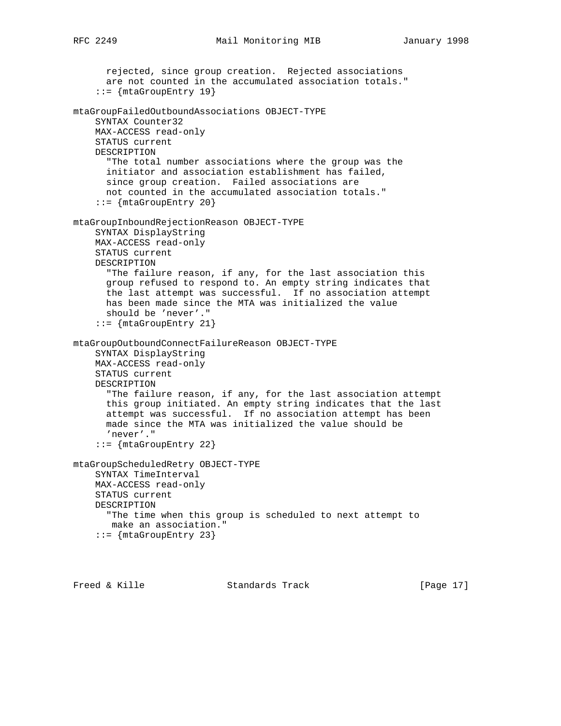```
 rejected, since group creation. Rejected associations
       are not counted in the accumulated association totals."
     ::= {mtaGroupEntry 19}
mtaGroupFailedOutboundAssociations OBJECT-TYPE
     SYNTAX Counter32
     MAX-ACCESS read-only
     STATUS current
     DESCRIPTION
       "The total number associations where the group was the
       initiator and association establishment has failed,
      since group creation. Failed associations are
      not counted in the accumulated association totals."
     ::= {mtaGroupEntry 20}
mtaGroupInboundRejectionReason OBJECT-TYPE
     SYNTAX DisplayString
     MAX-ACCESS read-only
     STATUS current
     DESCRIPTION
       "The failure reason, if any, for the last association this
       group refused to respond to. An empty string indicates that
      the last attempt was successful. If no association attempt
      has been made since the MTA was initialized the value
       should be 'never'."
     ::= {mtaGroupEntry 21}
mtaGroupOutboundConnectFailureReason OBJECT-TYPE
     SYNTAX DisplayString
     MAX-ACCESS read-only
     STATUS current
     DESCRIPTION
       "The failure reason, if any, for the last association attempt
       this group initiated. An empty string indicates that the last
       attempt was successful. If no association attempt has been
      made since the MTA was initialized the value should be
       'never'."
     ::= {mtaGroupEntry 22}
```

```
mtaGroupScheduledRetry OBJECT-TYPE
     SYNTAX TimeInterval
    MAX-ACCESS read-only
    STATUS current
    DESCRIPTION
       "The time when this group is scheduled to next attempt to
       make an association."
    ::= \{mtaGroupEntry 23\}
```
Freed & Kille **Standards Track** [Page 17]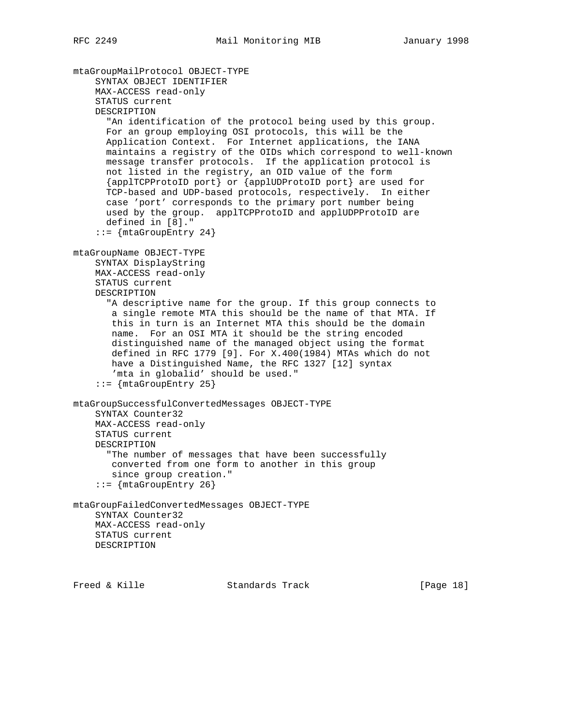```
mtaGroupMailProtocol OBJECT-TYPE
     SYNTAX OBJECT IDENTIFIER
     MAX-ACCESS read-only
     STATUS current
     DESCRIPTION
       "An identification of the protocol being used by this group.
       For an group employing OSI protocols, this will be the
       Application Context. For Internet applications, the IANA
       maintains a registry of the OIDs which correspond to well-known
       message transfer protocols. If the application protocol is
       not listed in the registry, an OID value of the form
       {applTCPProtoID port} or {applUDProtoID port} are used for
       TCP-based and UDP-based protocols, respectively. In either
       case 'port' corresponds to the primary port number being
       used by the group. applTCPProtoID and applUDPProtoID are
       defined in [8]."
    ::= \{mtaGroupEntry 24\}mtaGroupName OBJECT-TYPE
     SYNTAX DisplayString
     MAX-ACCESS read-only
     STATUS current
     DESCRIPTION
       "A descriptive name for the group. If this group connects to
        a single remote MTA this should be the name of that MTA. If
        this in turn is an Internet MTA this should be the domain
        name. For an OSI MTA it should be the string encoded
        distinguished name of the managed object using the format
        defined in RFC 1779 [9]. For X.400(1984) MTAs which do not
        have a Distinguished Name, the RFC 1327 [12] syntax
        'mta in globalid' should be used."
    ::= \{mtaGroupEntry 25\}mtaGroupSuccessfulConvertedMessages OBJECT-TYPE
     SYNTAX Counter32
     MAX-ACCESS read-only
     STATUS current
     DESCRIPTION
       "The number of messages that have been successfully
       converted from one form to another in this group
        since group creation."
     ::= {mtaGroupEntry 26}
mtaGroupFailedConvertedMessages OBJECT-TYPE
     SYNTAX Counter32
    MAX-ACCESS read-only
    STATUS current
     DESCRIPTION
```
Freed & Kille Standards Track [Page 18]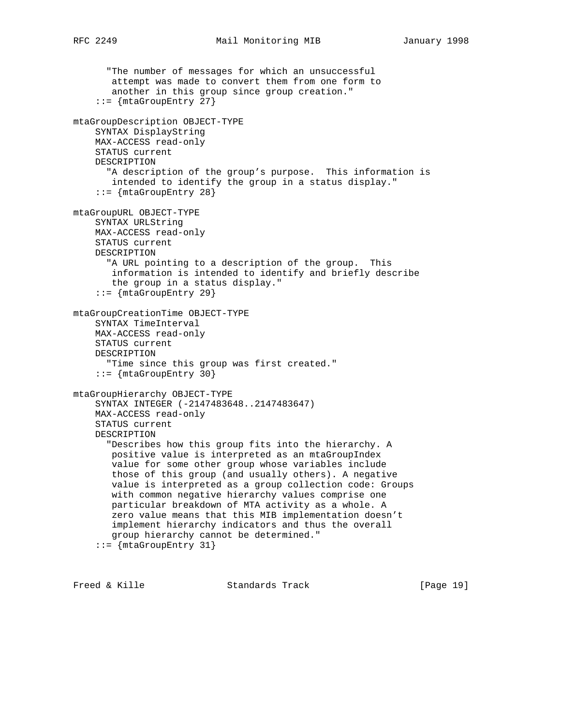```
 "The number of messages for which an unsuccessful
        attempt was made to convert them from one form to
        another in this group since group creation."
     ::= {mtaGroupEntry 27}
mtaGroupDescription OBJECT-TYPE
     SYNTAX DisplayString
    MAX-ACCESS read-only
     STATUS current
     DESCRIPTION
       "A description of the group's purpose. This information is
       intended to identify the group in a status display."
    ::= {mtaGroupEntry 28}
mtaGroupURL OBJECT-TYPE
     SYNTAX URLString
     MAX-ACCESS read-only
     STATUS current
    DESCRIPTION
       "A URL pointing to a description of the group. This
       information is intended to identify and briefly describe
        the group in a status display."
     ::= {mtaGroupEntry 29}
mtaGroupCreationTime OBJECT-TYPE
     SYNTAX TimeInterval
     MAX-ACCESS read-only
     STATUS current
     DESCRIPTION
       "Time since this group was first created."
     ::= {mtaGroupEntry 30}
mtaGroupHierarchy OBJECT-TYPE
     SYNTAX INTEGER (-2147483648..2147483647)
     MAX-ACCESS read-only
     STATUS current
     DESCRIPTION
       "Describes how this group fits into the hierarchy. A
        positive value is interpreted as an mtaGroupIndex
        value for some other group whose variables include
        those of this group (and usually others). A negative
        value is interpreted as a group collection code: Groups
        with common negative hierarchy values comprise one
        particular breakdown of MTA activity as a whole. A
        zero value means that this MIB implementation doesn't
        implement hierarchy indicators and thus the overall
        group hierarchy cannot be determined."
     ::= {mtaGroupEntry 31}
```
Freed & Kille Standards Track [Page 19]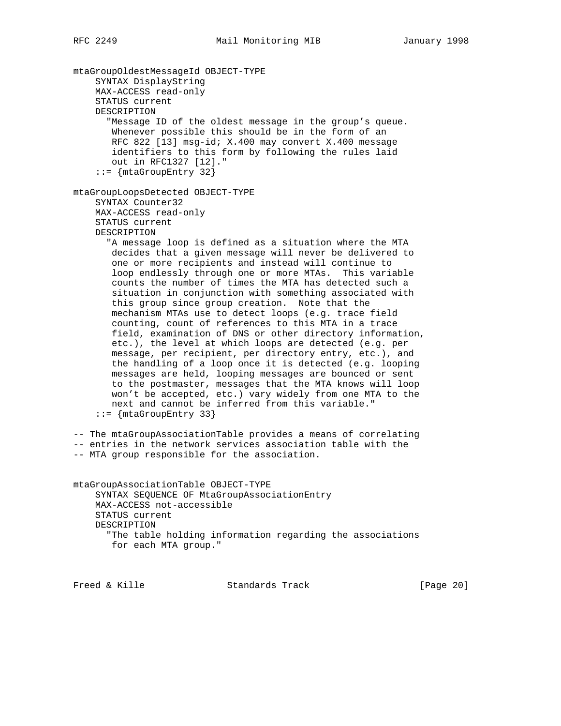mtaGroupOldestMessageId OBJECT-TYPE SYNTAX DisplayString MAX-ACCESS read-only STATUS current DESCRIPTION "Message ID of the oldest message in the group's queue. Whenever possible this should be in the form of an RFC 822 [13] msg-id; X.400 may convert X.400 message identifiers to this form by following the rules laid out in RFC1327 [12]." ::= {mtaGroupEntry 32} mtaGroupLoopsDetected OBJECT-TYPE SYNTAX Counter32 MAX-ACCESS read-only STATUS current DESCRIPTION "A message loop is defined as a situation where the MTA decides that a given message will never be delivered to one or more recipients and instead will continue to loop endlessly through one or more MTAs. This variable counts the number of times the MTA has detected such a situation in conjunction with something associated with this group since group creation. Note that the mechanism MTAs use to detect loops (e.g. trace field counting, count of references to this MTA in a trace field, examination of DNS or other directory information, etc.), the level at which loops are detected (e.g. per message, per recipient, per directory entry, etc.), and the handling of a loop once it is detected (e.g. looping messages are held, looping messages are bounced or sent to the postmaster, messages that the MTA knows will loop won't be accepted, etc.) vary widely from one MTA to the next and cannot be inferred from this variable." ::= {mtaGroupEntry 33} -- The mtaGroupAssociationTable provides a means of correlating -- entries in the network services association table with the -- MTA group responsible for the association. mtaGroupAssociationTable OBJECT-TYPE SYNTAX SEQUENCE OF MtaGroupAssociationEntry MAX-ACCESS not-accessible STATUS current DESCRIPTION "The table holding information regarding the associations for each MTA group." Freed & Kille Standards Track [Page 20]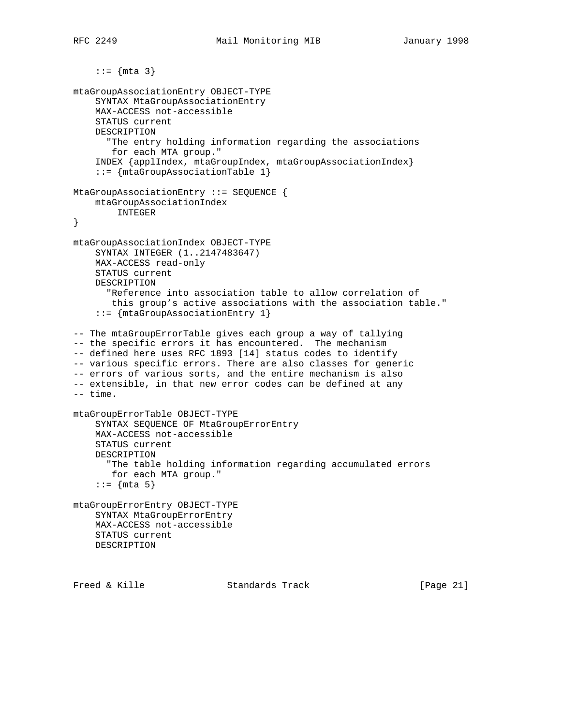```
::= {mta 3}mtaGroupAssociationEntry OBJECT-TYPE
     SYNTAX MtaGroupAssociationEntry
     MAX-ACCESS not-accessible
     STATUS current
     DESCRIPTION
       "The entry holding information regarding the associations
       for each MTA group."
     INDEX {applIndex, mtaGroupIndex, mtaGroupAssociationIndex}
     ::= {mtaGroupAssociationTable 1}
MtaGroupAssociationEntry ::= SEQUENCE {
   mtaGroupAssociationIndex
        INTEGER
}
mtaGroupAssociationIndex OBJECT-TYPE
    SYNTAX INTEGER (1..2147483647)
     MAX-ACCESS read-only
     STATUS current
     DESCRIPTION
       "Reference into association table to allow correlation of
       this group's active associations with the association table."
     ::= {mtaGroupAssociationEntry 1}
-- The mtaGroupErrorTable gives each group a way of tallying
-- the specific errors it has encountered. The mechanism
-- defined here uses RFC 1893 [14] status codes to identify
-- various specific errors. There are also classes for generic
-- errors of various sorts, and the entire mechanism is also
-- extensible, in that new error codes can be defined at any
-- time.
mtaGroupErrorTable OBJECT-TYPE
     SYNTAX SEQUENCE OF MtaGroupErrorEntry
     MAX-ACCESS not-accessible
     STATUS current
     DESCRIPTION
       "The table holding information regarding accumulated errors
       for each MTA group."
    ::= \{nta 5\}mtaGroupErrorEntry OBJECT-TYPE
     SYNTAX MtaGroupErrorEntry
     MAX-ACCESS not-accessible
     STATUS current
     DESCRIPTION
```
Freed & Kille Standards Track [Page 21]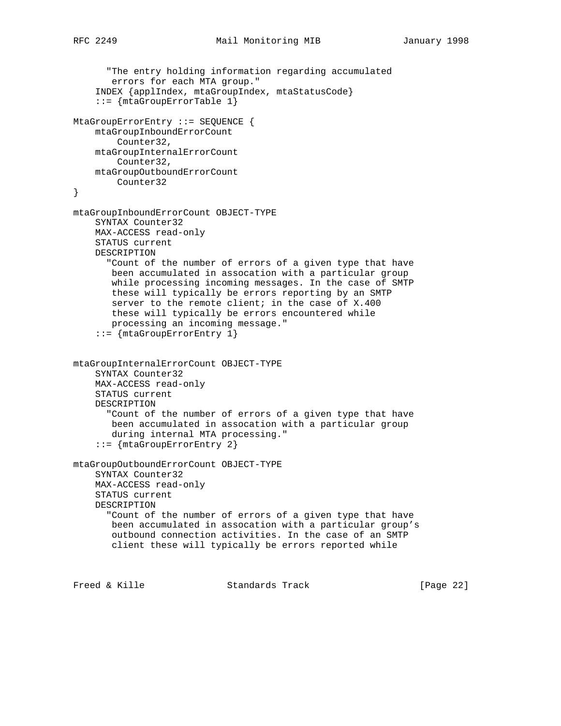```
 "The entry holding information regarding accumulated
        errors for each MTA group."
     INDEX {applIndex, mtaGroupIndex, mtaStatusCode}
     ::= {mtaGroupErrorTable 1}
MtaGroupErrorEntry ::= SEQUENCE {
     mtaGroupInboundErrorCount
         Counter32,
     mtaGroupInternalErrorCount
        Counter32,
     mtaGroupOutboundErrorCount
         Counter32
}
mtaGroupInboundErrorCount OBJECT-TYPE
     SYNTAX Counter32
     MAX-ACCESS read-only
     STATUS current
     DESCRIPTION
       "Count of the number of errors of a given type that have
       been accumulated in assocation with a particular group
        while processing incoming messages. In the case of SMTP
       these will typically be errors reporting by an SMTP
       server to the remote client; in the case of X.400
       these will typically be errors encountered while
        processing an incoming message."
     ::= {mtaGroupErrorEntry 1}
mtaGroupInternalErrorCount OBJECT-TYPE
     SYNTAX Counter32
     MAX-ACCESS read-only
     STATUS current
     DESCRIPTION
       "Count of the number of errors of a given type that have
       been accumulated in assocation with a particular group
        during internal MTA processing."
     ::= {mtaGroupErrorEntry 2}
mtaGroupOutboundErrorCount OBJECT-TYPE
     SYNTAX Counter32
     MAX-ACCESS read-only
     STATUS current
     DESCRIPTION
       "Count of the number of errors of a given type that have
       been accumulated in assocation with a particular group's
       outbound connection activities. In the case of an SMTP
        client these will typically be errors reported while
```
Freed & Kille Standards Track [Page 22]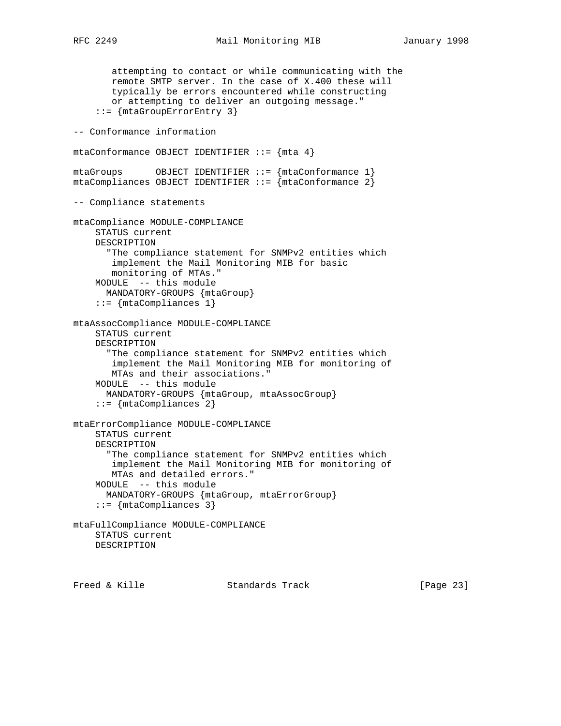```
 attempting to contact or while communicating with the
        remote SMTP server. In the case of X.400 these will
        typically be errors encountered while constructing
        or attempting to deliver an outgoing message."
     ::= {mtaGroupErrorEntry 3}
-- Conformance information
mtaConformance OBJECT IDENTIFIER ::= \{ mta 4 \}mtaGroups OBJECT IDENTIFIER ::= {mtaConformance 1}
mtaCompliances OBJECT IDENTIFIER ::= {mtaConformance 2}
-- Compliance statements
mtaCompliance MODULE-COMPLIANCE
     STATUS current
     DESCRIPTION
       "The compliance statement for SNMPv2 entities which
       implement the Mail Monitoring MIB for basic
       monitoring of MTAs."
     MODULE -- this module
      MANDATORY-GROUPS {mtaGroup}
     ::= {mtaCompliances 1}
mtaAssocCompliance MODULE-COMPLIANCE
     STATUS current
     DESCRIPTION
       "The compliance statement for SNMPv2 entities which
       implement the Mail Monitoring MIB for monitoring of
       MTAs and their associations."
     MODULE -- this module
      MANDATORY-GROUPS {mtaGroup, mtaAssocGroup}
     ::= {mtaCompliances 2}
mtaErrorCompliance MODULE-COMPLIANCE
     STATUS current
     DESCRIPTION
       "The compliance statement for SNMPv2 entities which
        implement the Mail Monitoring MIB for monitoring of
        MTAs and detailed errors."
     MODULE -- this module
      MANDATORY-GROUPS {mtaGroup, mtaErrorGroup}
     ::= {mtaCompliances 3}
mtaFullCompliance MODULE-COMPLIANCE
     STATUS current
    DESCRIPTION
```
Freed & Kille **Standards Track** [Page 23]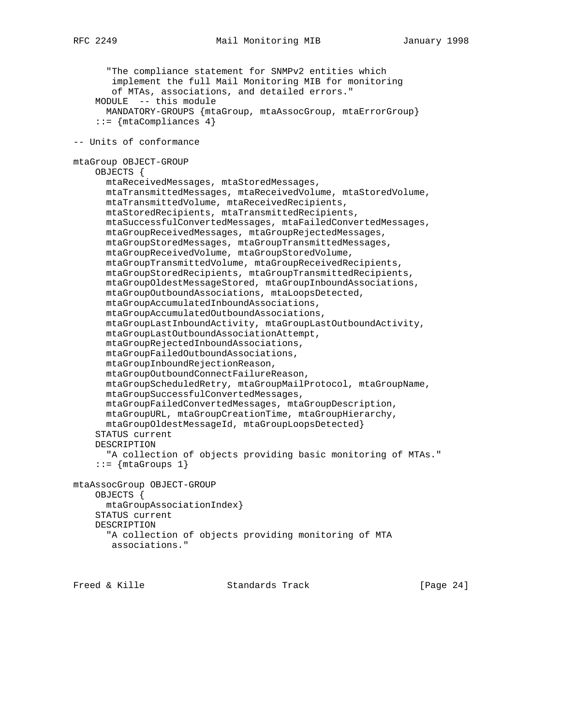"The compliance statement for SNMPv2 entities which implement the full Mail Monitoring MIB for monitoring of MTAs, associations, and detailed errors." MODULE -- this module MANDATORY-GROUPS {mtaGroup, mtaAssocGroup, mtaErrorGroup}  $::=$  {mtaCompliances 4} -- Units of conformance mtaGroup OBJECT-GROUP OBJECTS { mtaReceivedMessages, mtaStoredMessages, mtaTransmittedMessages, mtaReceivedVolume, mtaStoredVolume, mtaTransmittedVolume, mtaReceivedRecipients, mtaStoredRecipients, mtaTransmittedRecipients, mtaSuccessfulConvertedMessages, mtaFailedConvertedMessages, mtaGroupReceivedMessages, mtaGroupRejectedMessages, mtaGroupStoredMessages, mtaGroupTransmittedMessages, mtaGroupReceivedVolume, mtaGroupStoredVolume, mtaGroupTransmittedVolume, mtaGroupReceivedRecipients, mtaGroupStoredRecipients, mtaGroupTransmittedRecipients, mtaGroupOldestMessageStored, mtaGroupInboundAssociations, mtaGroupOutboundAssociations, mtaLoopsDetected, mtaGroupAccumulatedInboundAssociations, mtaGroupAccumulatedOutboundAssociations, mtaGroupLastInboundActivity, mtaGroupLastOutboundActivity, mtaGroupLastOutboundAssociationAttempt, mtaGroupRejectedInboundAssociations, mtaGroupFailedOutboundAssociations, mtaGroupInboundRejectionReason, mtaGroupOutboundConnectFailureReason, mtaGroupScheduledRetry, mtaGroupMailProtocol, mtaGroupName, mtaGroupSuccessfulConvertedMessages, mtaGroupFailedConvertedMessages, mtaGroupDescription, mtaGroupURL, mtaGroupCreationTime, mtaGroupHierarchy, mtaGroupOldestMessageId, mtaGroupLoopsDetected} STATUS current DESCRIPTION "A collection of objects providing basic monitoring of MTAs."  $::=$   $\{mtaGroups 1\}$ mtaAssocGroup OBJECT-GROUP OBJECTS { mtaGroupAssociationIndex} STATUS current DESCRIPTION "A collection of objects providing monitoring of MTA associations."

Freed & Kille Standards Track [Page 24]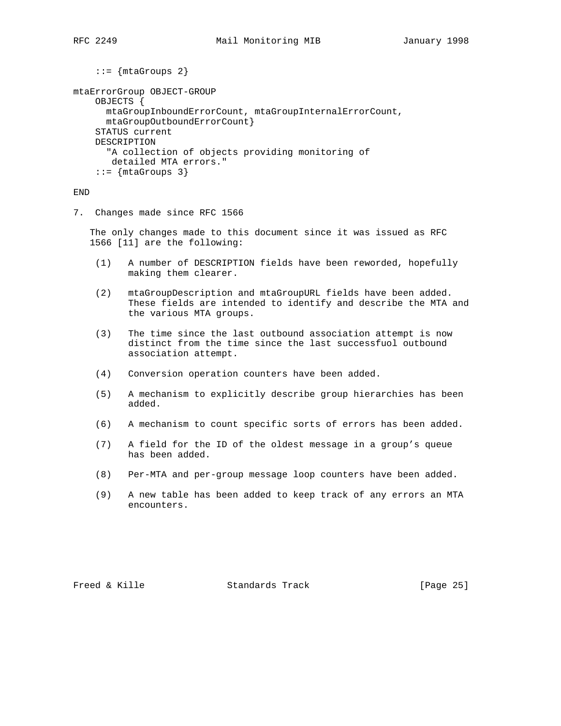```
::= {mtaGroups 2}
```

```
mtaErrorGroup OBJECT-GROUP
    OBJECTS {
      mtaGroupInboundErrorCount, mtaGroupInternalErrorCount,
       mtaGroupOutboundErrorCount}
     STATUS current
     DESCRIPTION
       "A collection of objects providing monitoring of
       detailed MTA errors."
    ::= \{mtaGroups 3\}
```
END

7. Changes made since RFC 1566

 The only changes made to this document since it was issued as RFC 1566 [11] are the following:

- (1) A number of DESCRIPTION fields have been reworded, hopefully making them clearer.
- (2) mtaGroupDescription and mtaGroupURL fields have been added. These fields are intended to identify and describe the MTA and the various MTA groups.
- (3) The time since the last outbound association attempt is now distinct from the time since the last successfuol outbound association attempt.
- (4) Conversion operation counters have been added.
- (5) A mechanism to explicitly describe group hierarchies has been added.
- (6) A mechanism to count specific sorts of errors has been added.
- (7) A field for the ID of the oldest message in a group's queue has been added.
- (8) Per-MTA and per-group message loop counters have been added.
- (9) A new table has been added to keep track of any errors an MTA encounters.

Freed & Kille **Standards Track** [Page 25]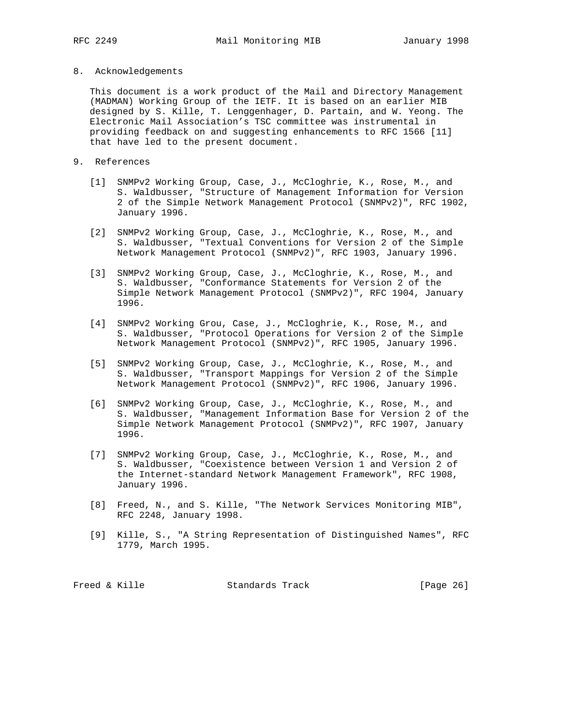8. Acknowledgements

 This document is a work product of the Mail and Directory Management (MADMAN) Working Group of the IETF. It is based on an earlier MIB designed by S. Kille, T. Lenggenhager, D. Partain, and W. Yeong. The Electronic Mail Association's TSC committee was instrumental in providing feedback on and suggesting enhancements to RFC 1566 [11] that have led to the present document.

- 9. References
	- [1] SNMPv2 Working Group, Case, J., McCloghrie, K., Rose, M., and S. Waldbusser, "Structure of Management Information for Version 2 of the Simple Network Management Protocol (SNMPv2)", RFC 1902, January 1996.
	- [2] SNMPv2 Working Group, Case, J., McCloghrie, K., Rose, M., and S. Waldbusser, "Textual Conventions for Version 2 of the Simple Network Management Protocol (SNMPv2)", RFC 1903, January 1996.
	- [3] SNMPv2 Working Group, Case, J., McCloghrie, K., Rose, M., and S. Waldbusser, "Conformance Statements for Version 2 of the Simple Network Management Protocol (SNMPv2)", RFC 1904, January 1996.
	- [4] SNMPv2 Working Grou, Case, J., McCloghrie, K., Rose, M., and S. Waldbusser, "Protocol Operations for Version 2 of the Simple Network Management Protocol (SNMPv2)", RFC 1905, January 1996.
	- [5] SNMPv2 Working Group, Case, J., McCloghrie, K., Rose, M., and S. Waldbusser, "Transport Mappings for Version 2 of the Simple Network Management Protocol (SNMPv2)", RFC 1906, January 1996.
	- [6] SNMPv2 Working Group, Case, J., McCloghrie, K., Rose, M., and S. Waldbusser, "Management Information Base for Version 2 of the Simple Network Management Protocol (SNMPv2)", RFC 1907, January 1996.
	- [7] SNMPv2 Working Group, Case, J., McCloghrie, K., Rose, M., and S. Waldbusser, "Coexistence between Version 1 and Version 2 of the Internet-standard Network Management Framework", RFC 1908, January 1996.
	- [8] Freed, N., and S. Kille, "The Network Services Monitoring MIB", RFC 2248, January 1998.
	- [9] Kille, S., "A String Representation of Distinguished Names", RFC 1779, March 1995.

| Freed & Kille<br>Standards Track | [Page 26] |  |
|----------------------------------|-----------|--|
|----------------------------------|-----------|--|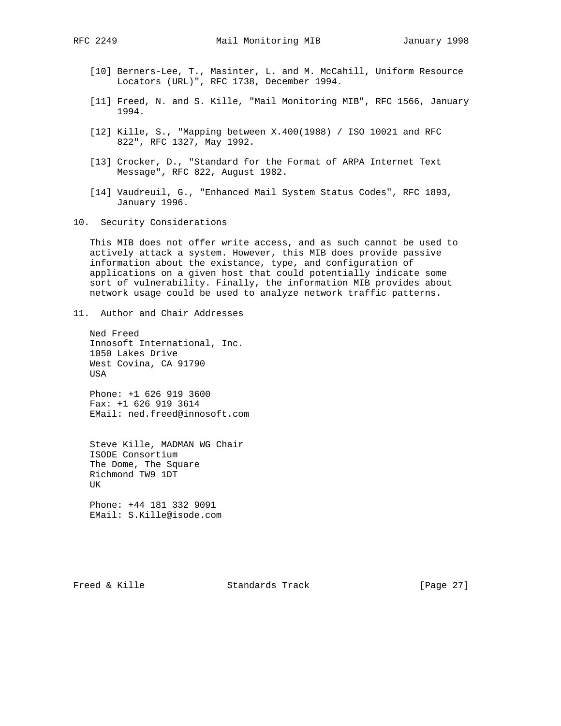- [10] Berners-Lee, T., Masinter, L. and M. McCahill, Uniform Resource Locators (URL)", RFC 1738, December 1994.
- [11] Freed, N. and S. Kille, "Mail Monitoring MIB", RFC 1566, January 1994.
- [12] Kille, S., "Mapping between X.400(1988) / ISO 10021 and RFC 822", RFC 1327, May 1992.
- [13] Crocker, D., "Standard for the Format of ARPA Internet Text Message", RFC 822, August 1982.
- [14] Vaudreuil, G., "Enhanced Mail System Status Codes", RFC 1893, January 1996.
- 10. Security Considerations

 This MIB does not offer write access, and as such cannot be used to actively attack a system. However, this MIB does provide passive information about the existance, type, and configuration of applications on a given host that could potentially indicate some sort of vulnerability. Finally, the information MIB provides about network usage could be used to analyze network traffic patterns.

11. Author and Chair Addresses

 Ned Freed Innosoft International, Inc. 1050 Lakes Drive West Covina, CA 91790 USA

 Phone: +1 626 919 3600 Fax: +1 626 919 3614 EMail: ned.freed@innosoft.com

 Steve Kille, MADMAN WG Chair ISODE Consortium The Dome, The Square Richmond TW9 1DT UK

 Phone: +44 181 332 9091 EMail: S.Kille@isode.com

Freed & Kille **Standards Track** [Page 27]